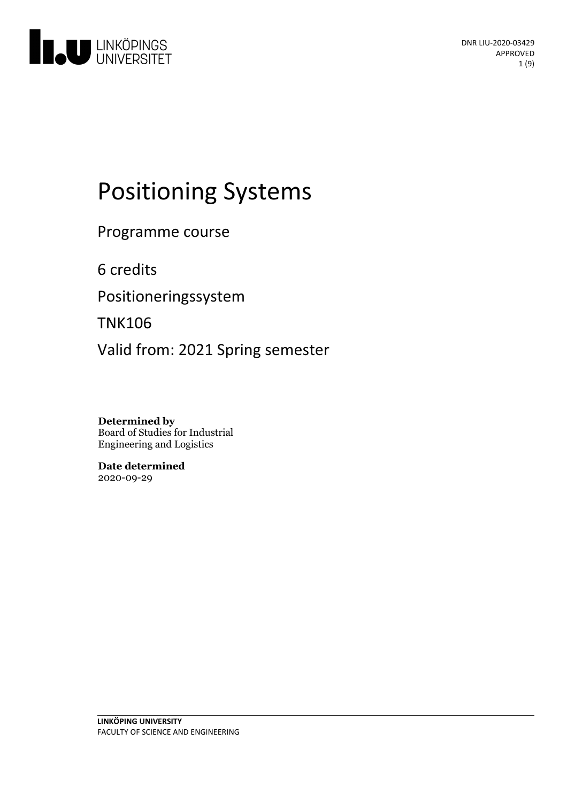

# Positioning Systems

Programme course

6 credits

Positioneringssystem

TNK106

Valid from: 2021 Spring semester

**Determined by** Board of Studies for Industrial Engineering and Logistics

**Date determined** 2020-09-29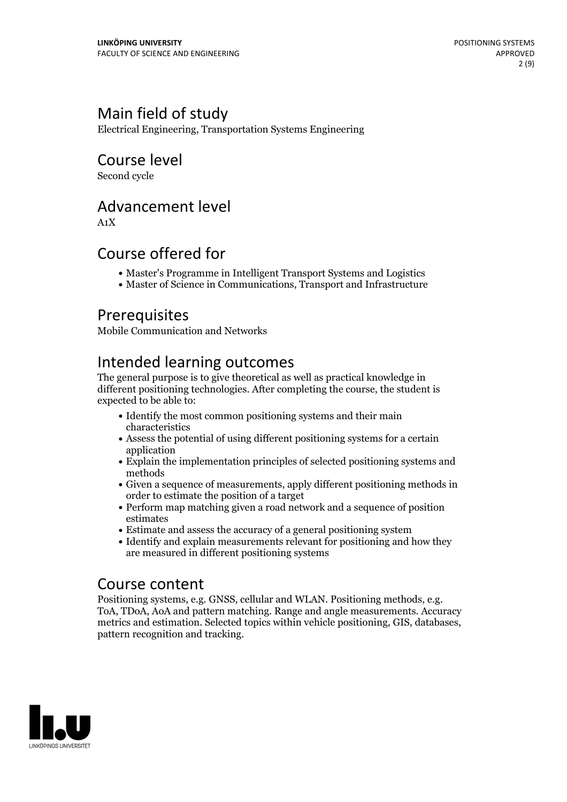### Main field of study

Electrical Engineering, Transportation Systems Engineering

### Course level

Second cycle

### Advancement level

A1X

### Course offered for

- Master's Programme in Intelligent Transport Systems and Logistics
- Master of Science in Communications, Transport and Infrastructure

### Prerequisites

Mobile Communication and Networks

### Intended learning outcomes

The general purpose is to give theoretical as well as practical knowledge in different positioning technologies. After completing the course, the student is expected to be able to:

- Identify the most common positioning systems and their main characteristics
- Assess the potential of using different positioning systems for a certain application
- Explain the implementation principles of selected positioning systems and methods
- Given a sequence of measurements, apply different positioning methods in order to estimate the position of a target
- Perform map matching given a road network and a sequence of position estimates
- Estimate and assess the accuracy of a general positioning system
- Identify and explain measurements relevant for positioning and how they are measured in different positioning systems

**Course content**<br>Positioning systems, e.g. GNSS, cellular and WLAN. Positioning methods, e.g. ToA, TDoA, AoA and pattern matching. Range and angle measurements. Accuracy metrics and estimation. Selected topics within vehicle positioning, GIS, databases, pattern recognition and tracking.

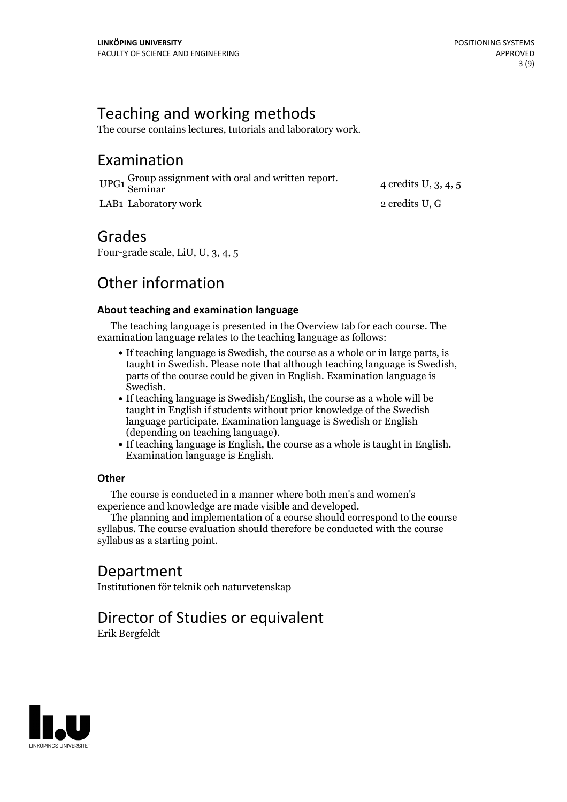### Teaching and working methods

The course contains lectures, tutorials and laboratory work.

### Examination

| UPG1 Group assignment with oral and written report.<br>Seminar | 4 credits U, $3, 4, 5$ |
|----------------------------------------------------------------|------------------------|
| LAB1 Laboratory work                                           | 2 credits U, G         |

### Grades

Four-grade scale, LiU, U, 3, 4, 5

### Other information

#### **About teaching and examination language**

The teaching language is presented in the Overview tab for each course. The examination language relates to the teaching language as follows:

- If teaching language is Swedish, the course as a whole or in large parts, is taught in Swedish. Please note that although teaching language is Swedish, parts of the course could be given in English. Examination language is
- Swedish.<br>• If teaching language is Swedish/English, the course as a whole will be taught in English if students without prior knowledge of the Swedish language participate. Examination language is Swedish or English
- $\bullet$  If teaching language is English, the course as a whole is taught in English. Examination language is English.

#### **Other**

The course is conducted in a manner where both men's and women's

The planning and implementation of a course should correspond to the course should correspond to the course should correspond to the course should correspond to the course should correspond to the course of the course of t syllabus. The course evaluation should therefore be conducted with the course syllabus as a starting point.

### Department

Institutionen för teknik och naturvetenskap

## Director of Studies or equivalent

Erik Bergfeldt

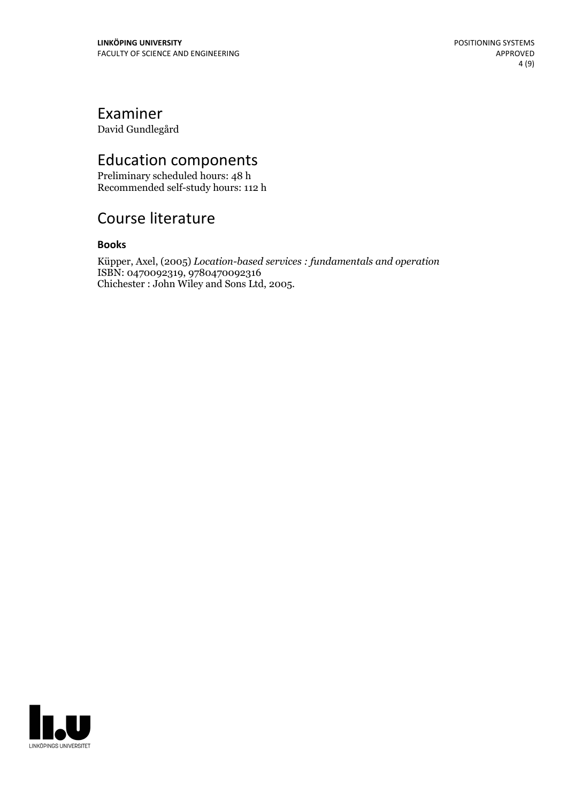### Examiner

David Gundlegård

### Education components

Preliminary scheduled hours: 48 h Recommended self-study hours: 112 h

### Course literature

#### **Books**

Küpper, Axel, (2005) *Location-based services : fundamentals and operation* ISBN: 0470092319, 9780470092316 Chichester : John Wiley and Sons Ltd, 2005.

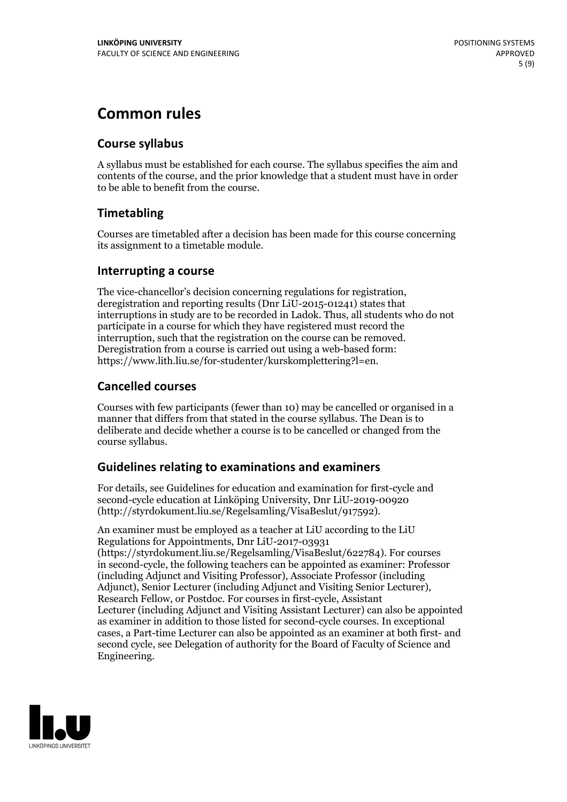### **Common rules**

### **Course syllabus**

A syllabus must be established for each course. The syllabus specifies the aim and contents of the course, and the prior knowledge that a student must have in order to be able to benefit from the course.

### **Timetabling**

Courses are timetabled after a decision has been made for this course concerning its assignment to a timetable module.

#### **Interrupting a course**

The vice-chancellor's decision concerning regulations for registration, deregistration and reporting results (Dnr LiU-2015-01241) states that interruptions in study are to be recorded in Ladok. Thus, all students who do not participate in a course for which they have registered must record the interruption, such that the registration on the course can be removed. Deregistration from <sup>a</sup> course is carried outusing <sup>a</sup> web-based form: https://www.lith.liu.se/for-studenter/kurskomplettering?l=en.

### **Cancelled courses**

Courses with few participants (fewer than 10) may be cancelled or organised in a manner that differs from that stated in the course syllabus. The Dean is to deliberate and decide whether a course is to be cancelled or changed from the course syllabus.

### **Guidelines relatingto examinations and examiners**

For details, see Guidelines for education and examination for first-cycle and second-cycle education at Linköping University, Dnr LiU-2019-00920 (http://styrdokument.liu.se/Regelsamling/VisaBeslut/917592).

An examiner must be employed as a teacher at LiU according to the LiU Regulations for Appointments, Dnr LiU-2017-03931 (https://styrdokument.liu.se/Regelsamling/VisaBeslut/622784). For courses in second-cycle, the following teachers can be appointed as examiner: Professor (including Adjunct and Visiting Professor), Associate Professor (including Adjunct), Senior Lecturer (including Adjunct and Visiting Senior Lecturer), Research Fellow, or Postdoc. For courses in first-cycle, Assistant Lecturer (including Adjunct and Visiting Assistant Lecturer) can also be appointed as examiner in addition to those listed for second-cycle courses. In exceptional cases, a Part-time Lecturer can also be appointed as an examiner at both first- and second cycle, see Delegation of authority for the Board of Faculty of Science and Engineering.

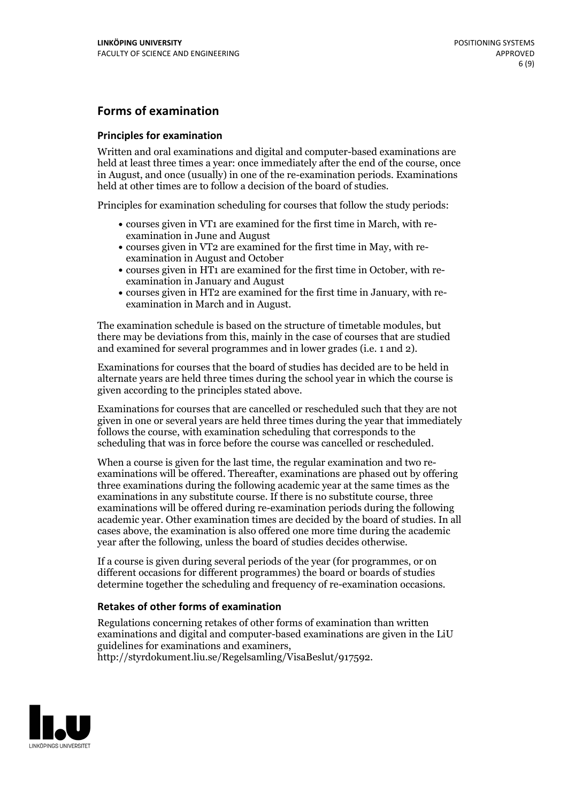### **Forms of examination**

#### **Principles for examination**

Written and oral examinations and digital and computer-based examinations are held at least three times a year: once immediately after the end of the course, once in August, and once (usually) in one of the re-examination periods. Examinations held at other times are to follow a decision of the board of studies.

Principles for examination scheduling for courses that follow the study periods:

- courses given in VT1 are examined for the first time in March, with re-examination in June and August
- courses given in VT2 are examined for the first time in May, with re-examination in August and October
- courses given in HT1 are examined for the first time in October, with re-examination in January and August
- courses given in HT2 are examined for the first time in January, with re-examination in March and in August.

The examination schedule is based on the structure of timetable modules, but there may be deviations from this, mainly in the case of courses that are studied and examined for several programmes and in lower grades (i.e. 1 and 2).

Examinations for courses that the board of studies has decided are to be held in alternate years are held three times during the school year in which the course is given according to the principles stated above.

Examinations for courses that are cancelled orrescheduled such that they are not given in one or several years are held three times during the year that immediately follows the course, with examination scheduling that corresponds to the scheduling that was in force before the course was cancelled or rescheduled.

When a course is given for the last time, the regular examination and two re-<br>examinations will be offered. Thereafter, examinations are phased out by offering three examinations during the following academic year at the same times as the examinations in any substitute course. If there is no substitute course, three examinations will be offered during re-examination periods during the following academic year. Other examination times are decided by the board of studies. In all cases above, the examination is also offered one more time during the academic year after the following, unless the board of studies decides otherwise.

If a course is given during several periods of the year (for programmes, or on different occasions for different programmes) the board or boards of studies determine together the scheduling and frequency of re-examination occasions.

#### **Retakes of other forms of examination**

Regulations concerning retakes of other forms of examination than written examinations and digital and computer-based examinations are given in the LiU guidelines for examinations and examiners, http://styrdokument.liu.se/Regelsamling/VisaBeslut/917592.

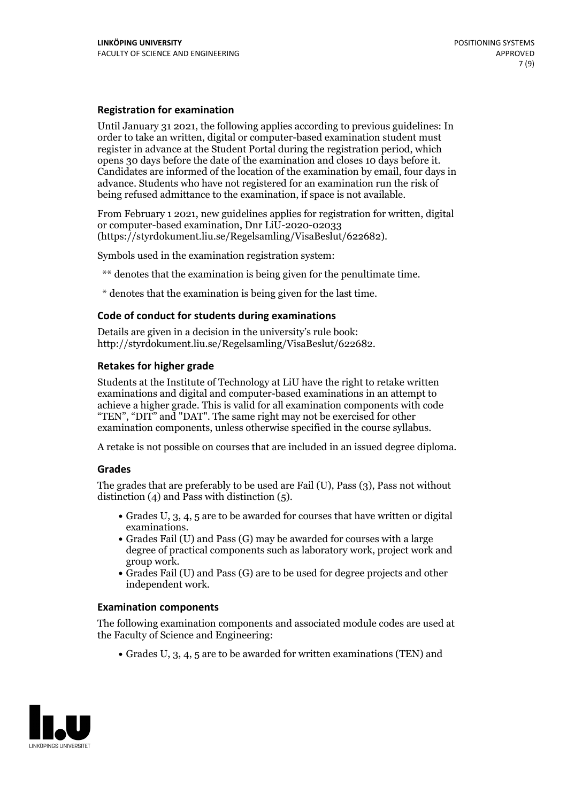#### **Registration for examination**

Until January 31 2021, the following applies according to previous guidelines: In order to take an written, digital or computer-based examination student must register in advance at the Student Portal during the registration period, which Candidates are informed of the location of the examination by email, four days in advance. Students who have not registered for an examination run the risk of being refused admittance to the examination, if space is not available.

From February 1 2021, new guidelines applies for registration for written, digital or computer-based examination, Dnr LiU-2020-02033 (https://styrdokument.liu.se/Regelsamling/VisaBeslut/622682).

Symbols used in the examination registration system:

\*\* denotes that the examination is being given for the penultimate time.

\* denotes that the examination is being given for the last time.

#### **Code of conduct for students during examinations**

Details are given in a decision in the university's rule book: http://styrdokument.liu.se/Regelsamling/VisaBeslut/622682.

#### **Retakes for higher grade**

Students at the Institute of Technology at LiU have the right to retake written examinations and digital and computer-based examinations in an attempt to achieve a higher grade. This is valid for all examination components with code "TEN", "DIT" and "DAT". The same right may not be exercised for other examination components, unless otherwise specified in the course syllabus.

A retake is not possible on courses that are included in an issued degree diploma.

#### **Grades**

The grades that are preferably to be used are Fail (U), Pass (3), Pass not without distinction  $(4)$  and Pass with distinction  $(5)$ .

- Grades U, 3, 4, 5 are to be awarded for courses that have written or digital examinations.<br>• Grades Fail (U) and Pass (G) may be awarded for courses with a large
- degree of practical components such as laboratory work, project work and
- $\bullet$  Grades Fail (U) and Pass (G) are to be used for degree projects and other independent work.

#### **Examination components**

The following examination components and associated module codes are used at the Faculty of Science and Engineering:

Grades U, 3, 4, 5 are to be awarded for written examinations (TEN) and

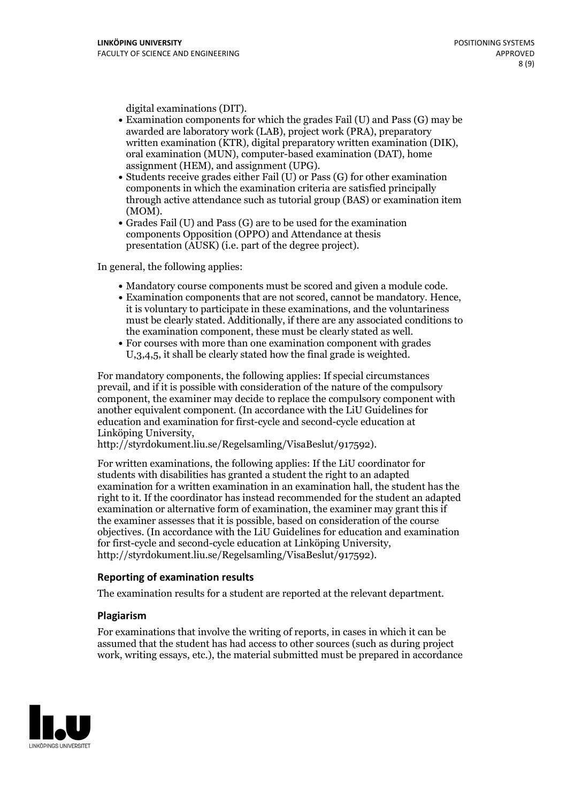- digital examinations (DIT).<br>• Examination components for which the grades Fail (U) and Pass (G) may be awarded are laboratory work (LAB), project work (PRA), preparatory written examination (KTR), digital preparatory written examination (DIK), oral examination (MUN), computer-based examination (DAT), home
- assignment (HEM), and assignment (UPG).<br>• Students receive grades either Fail (U) or Pass (G) for other examination components in which the examination criteria are satisfied principally through active attendance such as tutorial group (BAS) or examination item
- (MOM).<br>• Grades Fail (U) and Pass (G) are to be used for the examination components Opposition (OPPO) and Attendance at thesis presentation (AUSK) (i.e. part of the degree project).

In general, the following applies:

- 
- Mandatory course components must be scored and given <sup>a</sup> module code. Examination components that are not scored, cannot be mandatory. Hence, it is voluntary to participate in these examinations, and the voluntariness must be clearly stated. Additionally, if there are any associated conditions to the examination component, these must be clearly stated as well.<br>• For courses with more than one examination component with grades
- U,3,4,5, it shall be clearly stated how the final grade is weighted.

For mandatory components, the following applies: If special circumstances prevail, and if it is possible with consideration of the nature ofthe compulsory component, the examiner may decide to replace the compulsory component with another equivalent component. (In accordance with the LiU Guidelines for education and examination for first-cycle and second-cycle education at Linköping University, http://styrdokument.liu.se/Regelsamling/VisaBeslut/917592).

For written examinations, the following applies: If the LiU coordinator for students with disabilities has granted a student the right to an adapted examination for a written examination in an examination hall, the student has the right to it. If the coordinator has instead recommended for the student an adapted examination or alternative form of examination, the examiner may grant this if the examiner assesses that it is possible, based on consideration of the course objectives. (In accordance with the LiU Guidelines for education and examination for first-cycle and second-cycle education at Linköping University, http://styrdokument.liu.se/Regelsamling/VisaBeslut/917592).

#### **Reporting of examination results**

The examination results for a student are reported at the relevant department.

#### **Plagiarism**

For examinations that involve the writing of reports, in cases in which it can be assumed that the student has had access to other sources (such as during project work, writing essays, etc.), the material submitted must be prepared in accordance